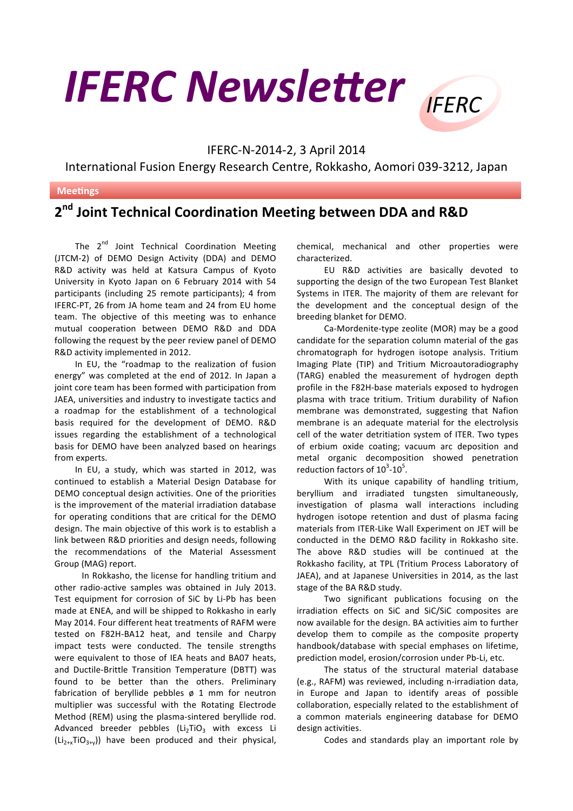## **IFERC Newsletter IFFRC**



International Fusion Energy Research Centre, Rokkasho, Aomori 039-3212, Japan

## **Meetings**

## **2nd Joint Technical Coordination Meeting between DDA and R&D**

The  $2^{nd}$  Joint Technical Coordination Meeting (JTCM-2) of DEMO Design Activity (DDA) and DEMO R&D activity was held at Katsura Campus of Kyoto University in Kyoto Japan on 6 February 2014 with 54 participants (including 25 remote participants); 4 from IFERC-PT, 26 from JA home team and 24 from EU home team. The objective of this meeting was to enhance mutual cooperation between DEMO R&D and DDA following the request by the peer review panel of DEMO R&D activity implemented in 2012.

In EU, the "roadmap to the realization of fusion energy" was completed at the end of 2012. In Japan a joint core team has been formed with participation from JAEA, universities and industry to investigate tactics and a roadmap for the establishment of a technological basis required for the development of DEMO. R&D issues regarding the establishment of a technological basis for DEMO have been analyzed based on hearings from experts.

In EU, a study, which was started in 2012, was continued to establish a Material Design Database for DEMO conceptual design activities. One of the priorities is the improvement of the material irradiation database for operating conditions that are critical for the DEMO design. The main objective of this work is to establish a link between R&D priorities and design needs, following the recommendations of the Material Assessment Group (MAG) report.

In Rokkasho, the license for handling tritium and other radio-active samples was obtained in July 2013. Test equipment for corrosion of SiC by Li-Pb has been made at ENEA, and will be shipped to Rokkasho in early May 2014. Four different heat treatments of RAFM were tested on F82H-BA12 heat, and tensile and Charpy impact tests were conducted. The tensile strengths were equivalent to those of IEA heats and BA07 heats, and Ductile-Brittle Transition Temperature (DBTT) was found to be better than the others. Preliminary fabrication of beryllide pebbles  $\phi$  1 mm for neutron multiplier was successful with the Rotating Electrode Method (REM) using the plasma-sintered beryllide rod. Advanced breeder pebbles ( $Li<sub>2</sub>TiO<sub>3</sub>$  with excess Li  $(Li_{2+x}TiO_{3+y})$  have been produced and their physical,

chemical, mechanical and other properties were characterized. 

EU R&D activities are basically devoted to supporting the design of the two European Test Blanket Systems in ITER. The majority of them are relevant for the development and the conceptual design of the breeding blanket for DEMO.

Ca-Mordenite-type zeolite (MOR) may be a good candidate for the separation column material of the gas chromatograph for hydrogen isotope analysis. Tritium Imaging Plate (TIP) and Tritium Microautoradiography (TARG) enabled the measurement of hydrogen depth profile in the F82H-base materials exposed to hydrogen plasma with trace tritium. Tritium durability of Nafion membrane was demonstrated, suggesting that Nafion membrane is an adequate material for the electrolysis cell of the water detritiation system of ITER. Two types of erbium oxide coating; vacuum arc deposition and metal organic decomposition showed penetration reduction factors of  $10^3$ - $10^5$ .

With its unique capability of handling tritium, beryllium and irradiated tungsten simultaneously, investigation of plasma wall interactions including hydrogen isotope retention and dust of plasma facing materials from ITER-Like Wall Experiment on JET will be conducted in the DEMO R&D facility in Rokkasho site. The above R&D studies will be continued at the Rokkasho facility, at TPL (Tritium Process Laboratory of JAEA), and at Japanese Universities in 2014, as the last stage of the BA R&D study.

Two significant publications focusing on the irradiation effects on SiC and SiC/SiC composites are now available for the design. BA activities aim to further develop them to compile as the composite property handbook/database with special emphases on lifetime, prediction model, erosion/corrosion under Pb-Li, etc.

The status of the structural material database (e.g., RAFM) was reviewed, including n-irradiation data, in Europe and Japan to identify areas of possible collaboration, especially related to the establishment of a common materials engineering database for DEMO design activities.

Codes and standards play an important role by